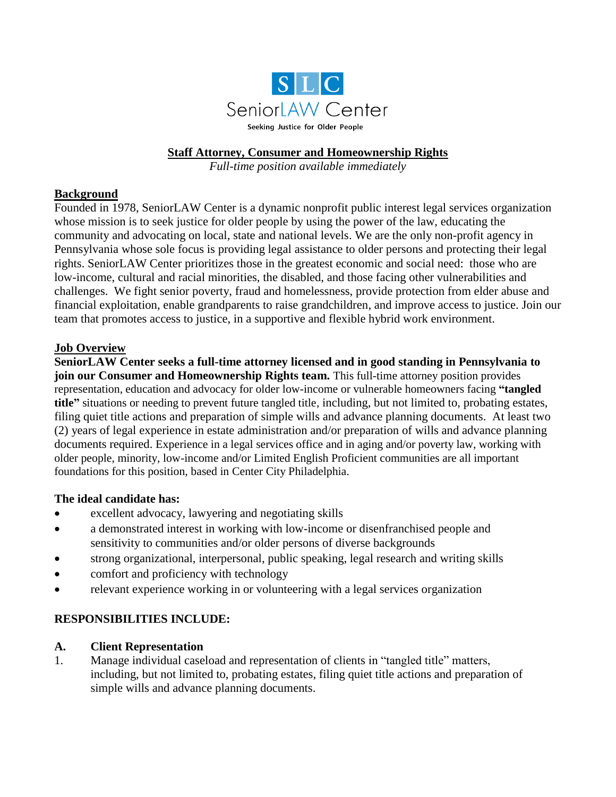

## **Staff Attorney, Consumer and Homeownership Rights**

*Full-time position available immediately*

## **Background**

Founded in 1978, SeniorLAW Center is a dynamic nonprofit public interest legal services organization whose mission is to seek justice for older people by using the power of the law, educating the community and advocating on local, state and national levels. We are the only non-profit agency in Pennsylvania whose sole focus is providing legal assistance to older persons and protecting their legal rights. SeniorLAW Center prioritizes those in the greatest economic and social need: those who are low-income, cultural and racial minorities, the disabled, and those facing other vulnerabilities and challenges. We fight senior poverty, fraud and homelessness, provide protection from elder abuse and financial exploitation, enable grandparents to raise grandchildren, and improve access to justice. Join our team that promotes access to justice, in a supportive and flexible hybrid work environment.

## **Job Overview**

**SeniorLAW Center seeks a full-time attorney licensed and in good standing in Pennsylvania to join our Consumer and Homeownership Rights team.** This full-time attorney position provides representation, education and advocacy for older low-income or vulnerable homeowners facing **"tangled title"** situations or needing to prevent future tangled title, including, but not limited to, probating estates, filing quiet title actions and preparation of simple wills and advance planning documents. At least two (2) years of legal experience in estate administration and/or preparation of wills and advance planning documents required. Experience in a legal services office and in aging and/or poverty law, working with older people, minority, low-income and/or Limited English Proficient communities are all important foundations for this position, based in Center City Philadelphia.

#### **The ideal candidate has:**

- excellent advocacy, lawyering and negotiating skills
- a demonstrated interest in working with low-income or disenfranchised people and sensitivity to communities and/or older persons of diverse backgrounds
- strong organizational, interpersonal, public speaking, legal research and writing skills
- comfort and proficiency with technology
- relevant experience working in or volunteering with a legal services organization

## **RESPONSIBILITIES INCLUDE:**

#### **A. Client Representation**

1. Manage individual caseload and representation of clients in "tangled title" matters, including, but not limited to, probating estates, filing quiet title actions and preparation of simple wills and advance planning documents.